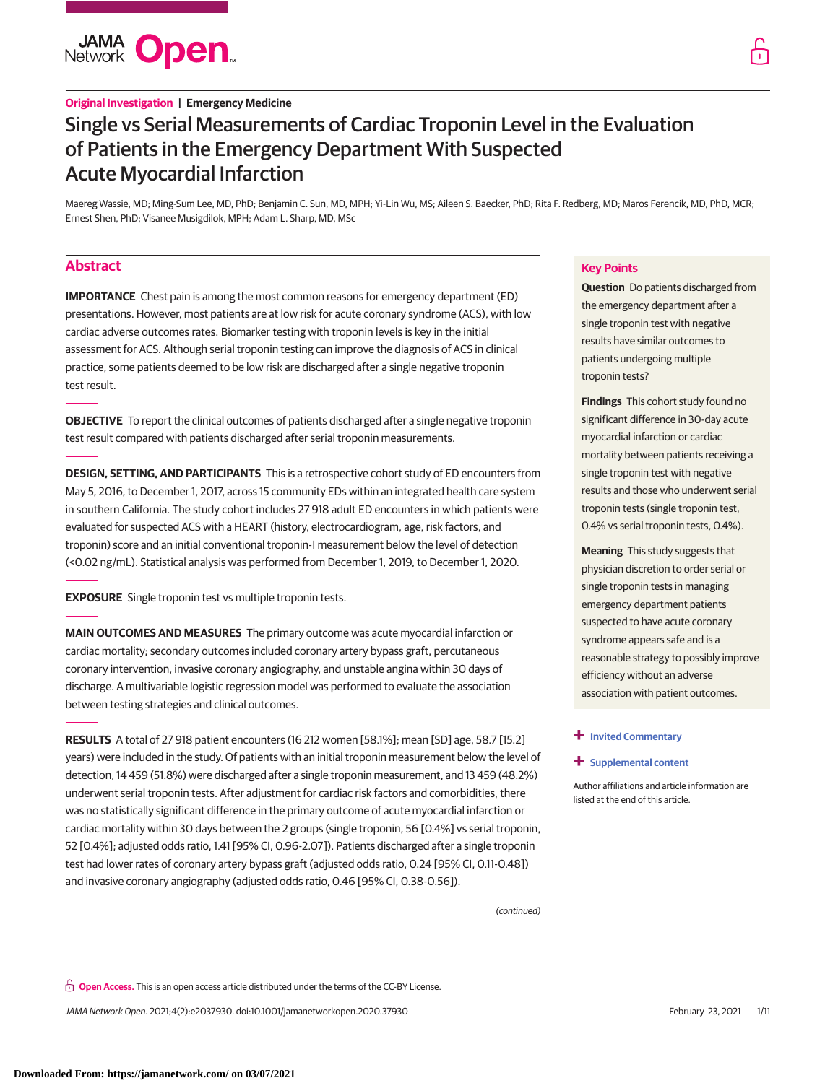**JAMA Open** 

# **Original Investigation | Emergency Medicine**

# Single vs Serial Measurements of Cardiac Troponin Level in the Evaluation of Patients in the Emergency Department With Suspected Acute Myocardial Infarction

Maereg Wassie, MD; Ming-Sum Lee, MD, PhD; Benjamin C. Sun, MD, MPH; Yi-Lin Wu, MS; Aileen S. Baecker, PhD; Rita F. Redberg, MD; Maros Ferencik, MD, PhD, MCR; Ernest Shen, PhD; Visanee Musigdilok, MPH; Adam L. Sharp, MD, MSc

# **Abstract**

**IMPORTANCE** Chest pain is among the most common reasons for emergency department (ED) presentations. However, most patients are at low risk for acute coronary syndrome (ACS), with low cardiac adverse outcomes rates. Biomarker testing with troponin levels is key in the initial assessment for ACS. Although serial troponin testing can improve the diagnosis of ACS in clinical practice, some patients deemed to be low risk are discharged after a single negative troponin test result.

**OBJECTIVE** To report the clinical outcomes of patients discharged after a single negative troponin test result compared with patients discharged after serial troponin measurements.

**DESIGN, SETTING, AND PARTICIPANTS** This is a retrospective cohort study of ED encounters from May 5, 2016, to December 1, 2017, across 15 community EDs within an integrated health care system in southern California. The study cohort includes 27 918 adult ED encounters in which patients were evaluated for suspected ACS with a HEART (history, electrocardiogram, age, risk factors, and troponin) score and an initial conventional troponin-I measurement below the level of detection (<0.02 ng/mL). Statistical analysis was performed from December 1, 2019, to December 1, 2020.

**EXPOSURE** Single troponin test vs multiple troponin tests.

**MAIN OUTCOMES AND MEASURES** The primary outcome was acute myocardial infarction or cardiac mortality; secondary outcomes included coronary artery bypass graft, percutaneous coronary intervention, invasive coronary angiography, and unstable angina within 30 days of discharge. A multivariable logistic regression model was performed to evaluate the association between testing strategies and clinical outcomes.

**RESULTS** A total of 27 918 patient encounters (16 212 women [58.1%]; mean [SD] age, 58.7 [15.2] years) were included in the study. Of patients with an initial troponin measurement below the level of detection, 14 459 (51.8%) were discharged after a single troponin measurement, and 13 459 (48.2%) underwent serial troponin tests. After adjustment for cardiac risk factors and comorbidities, there was no statistically significant difference in the primary outcome of acute myocardial infarction or cardiac mortality within 30 days between the 2 groups (single troponin, 56 [0.4%] vs serial troponin, 52 [0.4%]; adjusted odds ratio, 1.41 [95% CI, 0.96-2.07]). Patients discharged after a single troponin test had lower rates of coronary artery bypass graft (adjusted odds ratio, 0.24 [95% CI, 0.11-0.48]) and invasive coronary angiography (adjusted odds ratio, 0.46 [95% CI, 0.38-0.56]).

## **Key Points**

**Question** Do patients discharged from the emergency department after a single troponin test with negative results have similar outcomes to patients undergoing multiple troponin tests?

**Findings** This cohort study found no significant difference in 30-day acute myocardial infarction or cardiac mortality between patients receiving a single troponin test with negative results and those who underwent serial troponin tests (single troponin test, 0.4% vs serial troponin tests, 0.4%).

**Meaning** This study suggests that physician discretion to order serial or single troponin tests in managing emergency department patients suspected to have acute coronary syndrome appears safe and is a reasonable strategy to possibly improve efficiency without an adverse association with patient outcomes.

### **+ [Invited Commentary](https://jama.jamanetwork.com/article.aspx?doi=10.1001/jamanetworkopen.2021.0329&utm_campaign=articlePDF%26utm_medium=articlePDFlink%26utm_source=articlePDF%26utm_content=jamanetworkopen.2020.37930)**

(continued)

### **+ [Supplemental content](https://jama.jamanetwork.com/article.aspx?doi=10.1001/jamanetworkopen.2020.37930&utm_campaign=articlePDF%26utm_medium=articlePDFlink%26utm_source=articlePDF%26utm_content=jamanetworkopen.2020.37930)**

Author affiliations and article information are listed at the end of this article.

**Open Access.** This is an open access article distributed under the terms of the CC-BY License.

JAMA Network Open. 2021;4(2):e2037930. doi:10.1001/jamanetworkopen.2020.37930 (Reprinted) February 23, 2021 1/11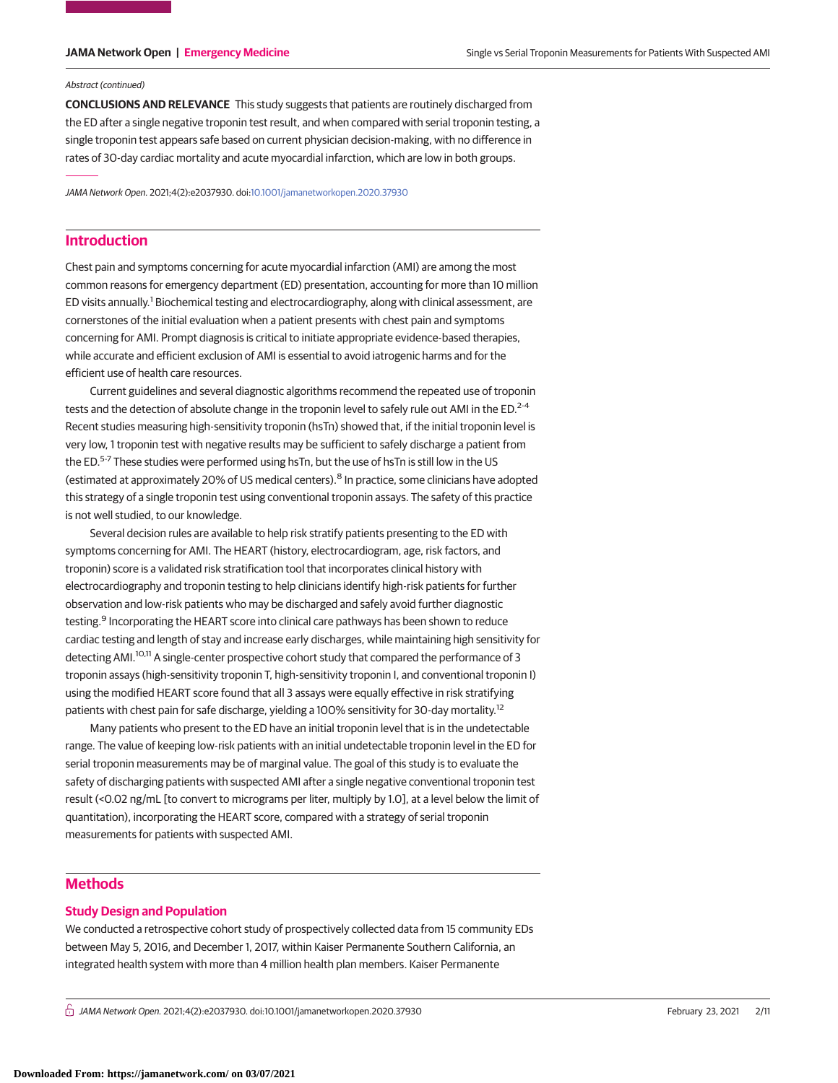### Abstract (continued)

**CONCLUSIONS AND RELEVANCE** This study suggests that patients are routinely discharged from the ED after a single negative troponin test result, and when compared with serial troponin testing, a single troponin test appears safe based on current physician decision-making, with no difference in rates of 30-day cardiac mortality and acute myocardial infarction, which are low in both groups.

JAMA Network Open. 2021;4(2):e2037930. doi[:10.1001/jamanetworkopen.2020.37930](https://jama.jamanetwork.com/article.aspx?doi=10.1001/jamanetworkopen.2020.37930&utm_campaign=articlePDF%26utm_medium=articlePDFlink%26utm_source=articlePDF%26utm_content=jamanetworkopen.2020.37930)

# **Introduction**

Chest pain and symptoms concerning for acute myocardial infarction (AMI) are among the most common reasons for emergency department (ED) presentation, accounting for more than 10 million ED visits annually.<sup>1</sup> Biochemical testing and electrocardiography, along with clinical assessment, are cornerstones of the initial evaluation when a patient presents with chest pain and symptoms concerning for AMI. Prompt diagnosis is critical to initiate appropriate evidence-based therapies, while accurate and efficient exclusion of AMI is essential to avoid iatrogenic harms and for the efficient use of health care resources.

Current guidelines and several diagnostic algorithms recommend the repeated use of troponin tests and the detection of absolute change in the troponin level to safely rule out AMI in the ED.<sup>2-4</sup> Recent studies measuring high-sensitivity troponin (hsTn) showed that, if the initial troponin level is very low, 1 troponin test with negative results may be sufficient to safely discharge a patient from the ED.<sup>5-7</sup> These studies were performed using hsTn, but the use of hsTn is still low in the US (estimated at approximately 20% of US medical centers).<sup>8</sup> In practice, some clinicians have adopted this strategy of a single troponin test using conventional troponin assays. The safety of this practice is not well studied, to our knowledge.

Several decision rules are available to help risk stratify patients presenting to the ED with symptoms concerning for AMI. The HEART (history, electrocardiogram, age, risk factors, and troponin) score is a validated risk stratification tool that incorporates clinical history with electrocardiography and troponin testing to help clinicians identify high-risk patients for further observation and low-risk patients who may be discharged and safely avoid further diagnostic testing.<sup>9</sup> Incorporating the HEART score into clinical care pathways has been shown to reduce cardiac testing and length of stay and increase early discharges, while maintaining high sensitivity for detecting AMI.10,11 A single-center prospective cohort study that compared the performance of 3 troponin assays (high-sensitivity troponin T, high-sensitivity troponin I, and conventional troponin I) using the modified HEART score found that all 3 assays were equally effective in risk stratifying patients with chest pain for safe discharge, yielding a 100% sensitivity for 30-day mortality.<sup>12</sup>

Many patients who present to the ED have an initial troponin level that is in the undetectable range. The value of keeping low-risk patients with an initial undetectable troponin level in the ED for serial troponin measurements may be of marginal value. The goal of this study is to evaluate the safety of discharging patients with suspected AMI after a single negative conventional troponin test result (<0.02 ng/mL [to convert to micrograms per liter, multiply by 1.0], at a level below the limit of quantitation), incorporating the HEART score, compared with a strategy of serial troponin measurements for patients with suspected AMI.

# **Methods**

### **Study Design and Population**

We conducted a retrospective cohort study of prospectively collected data from 15 community EDs between May 5, 2016, and December 1, 2017, within Kaiser Permanente Southern California, an integrated health system with more than 4 million health plan members. Kaiser Permanente

 $\bigcap$  JAMA Network Open. 2021;4(2):e2037930. doi:10.1001/jamanetworkopen.2020.37930 (Reprinted) February 23, 2021 2/11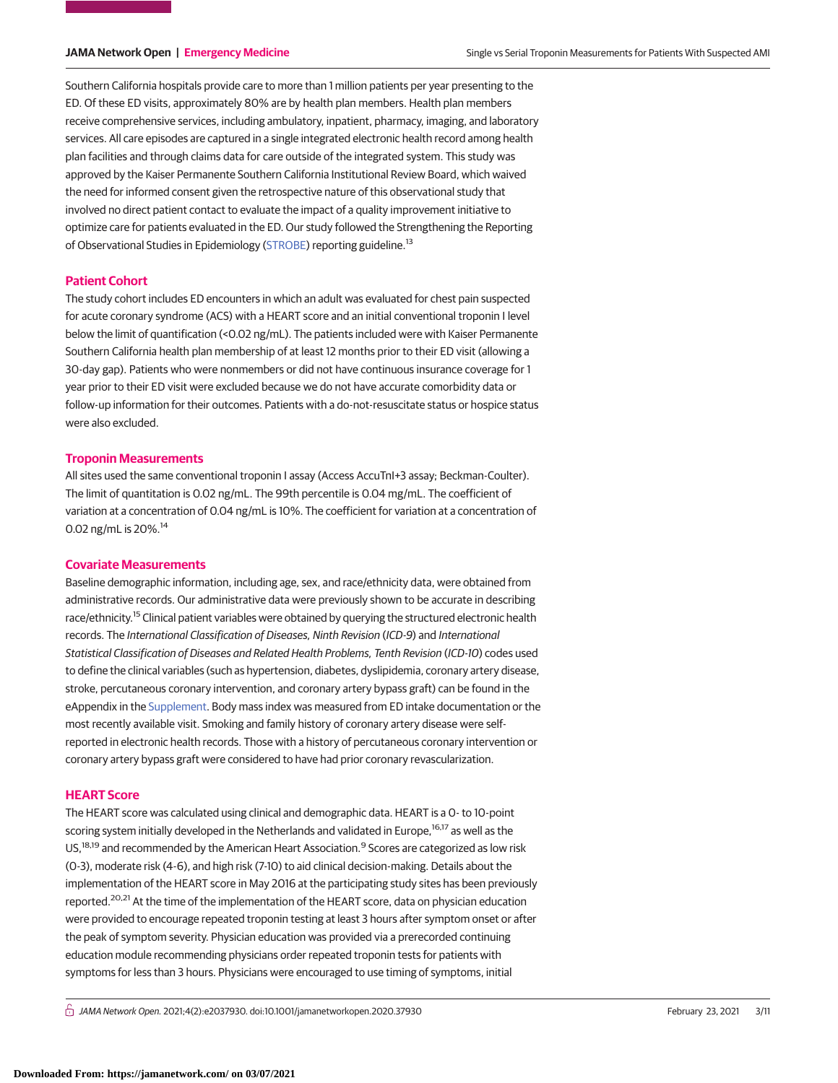Southern California hospitals provide care to more than 1 million patients per year presenting to the ED. Of these ED visits, approximately 80% are by health plan members. Health plan members receive comprehensive services, including ambulatory, inpatient, pharmacy, imaging, and laboratory services. All care episodes are captured in a single integrated electronic health record among health plan facilities and through claims data for care outside of the integrated system. This study was approved by the Kaiser Permanente Southern California Institutional Review Board, which waived the need for informed consent given the retrospective nature of this observational study that involved no direct patient contact to evaluate the impact of a quality improvement initiative to optimize care for patients evaluated in the ED. Our study followed the Strengthening the Reporting of Observational Studies in Epidemiology [\(STROBE\)](https://www.equator-network.org/reporting-guidelines/strobe/) reporting guideline.13

### **Patient Cohort**

The study cohort includes ED encounters in which an adult was evaluated for chest pain suspected for acute coronary syndrome (ACS) with a HEART score and an initial conventional troponin I level below the limit of quantification (<0.02 ng/mL). The patients included were with Kaiser Permanente Southern California health plan membership of at least 12 months prior to their ED visit (allowing a 30-day gap). Patients who were nonmembers or did not have continuous insurance coverage for 1 year prior to their ED visit were excluded because we do not have accurate comorbidity data or follow-up information for their outcomes. Patients with a do-not-resuscitate status or hospice status were also excluded.

### **Troponin Measurements**

All sites used the same conventional troponin I assay (Access AccuTnI+3 assay; Beckman-Coulter). The limit of quantitation is 0.02 ng/mL. The 99th percentile is 0.04 mg/mL. The coefficient of variation at a concentration of 0.04 ng/mL is 10%. The coefficient for variation at a concentration of 0.02 ng/mL is 20%.14

# **Covariate Measurements**

Baseline demographic information, including age, sex, and race/ethnicity data, were obtained from administrative records. Our administrative data were previously shown to be accurate in describing race/ethnicity.<sup>15</sup> Clinical patient variables were obtained by querying the structured electronic health records. The International Classification of Diseases, Ninth Revision (ICD-9) and International Statistical Classification of Diseases and Related Health Problems, Tenth Revision (ICD-10) codes used to define the clinical variables (such as hypertension, diabetes, dyslipidemia, coronary artery disease, stroke, percutaneous coronary intervention, and coronary artery bypass graft) can be found in the eAppendix in the [Supplement.](https://jama.jamanetwork.com/article.aspx?doi=10.1001/jamanetworkopen.2020.37930&utm_campaign=articlePDF%26utm_medium=articlePDFlink%26utm_source=articlePDF%26utm_content=jamanetworkopen.2020.37930) Body mass index was measured from ED intake documentation or the most recently available visit. Smoking and family history of coronary artery disease were selfreported in electronic health records. Those with a history of percutaneous coronary intervention or coronary artery bypass graft were considered to have had prior coronary revascularization.

### **HEART Score**

The HEART score was calculated using clinical and demographic data. HEART is a 0- to 10-point scoring system initially developed in the Netherlands and validated in Europe.<sup>16,17</sup> as well as the US,<sup>18,19</sup> and recommended by the American Heart Association.<sup>9</sup> Scores are categorized as low risk (0-3), moderate risk (4-6), and high risk (7-10) to aid clinical decision-making. Details about the implementation of the HEART score in May 2016 at the participating study sites has been previously reported.20,21 At the time of the implementation of the HEART score, data on physician education were provided to encourage repeated troponin testing at least 3 hours after symptom onset or after the peak of symptom severity. Physician education was provided via a prerecorded continuing education module recommending physicians order repeated troponin tests for patients with symptoms for less than 3 hours. Physicians were encouraged to use timing of symptoms, initial

 $\bigcap$  JAMA Network Open. 2021;4(2):e2037930. doi:10.1001/jamanetworkopen.2020.37930 (Reprinted) February 23, 2021 3/11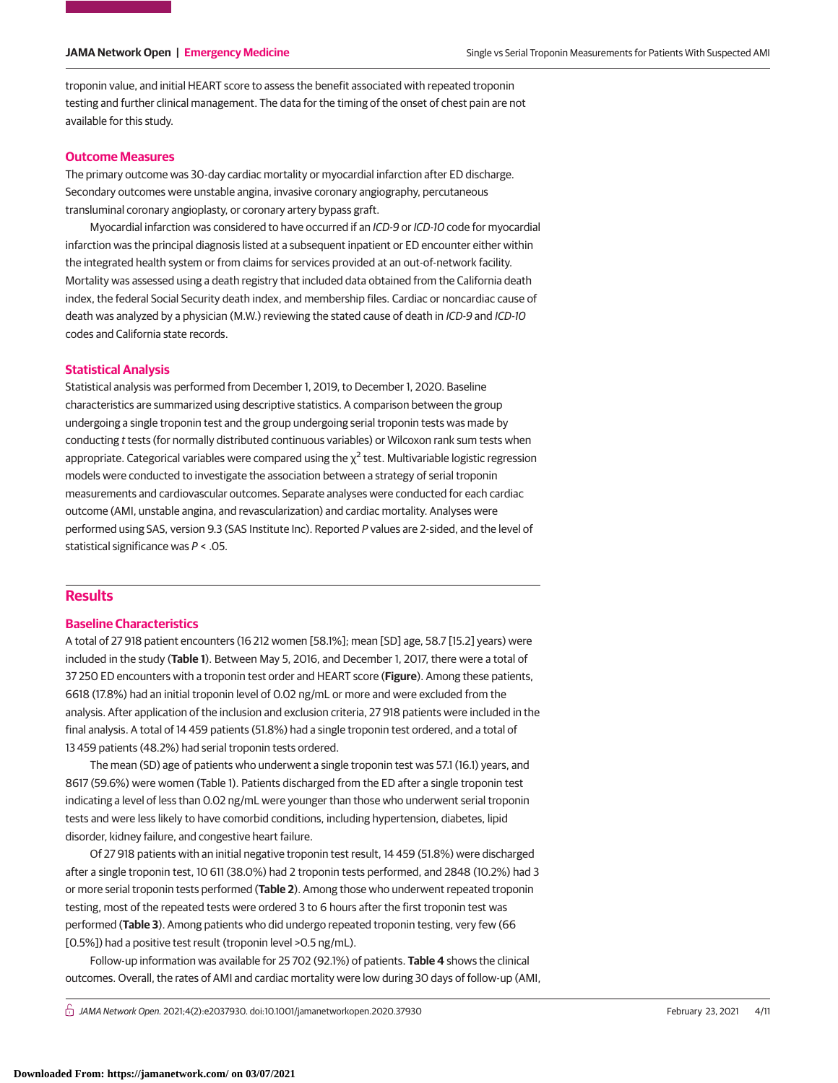troponin value, and initial HEART score to assess the benefit associated with repeated troponin testing and further clinical management. The data for the timing of the onset of chest pain are not available for this study.

# **Outcome Measures**

The primary outcome was 30-day cardiac mortality or myocardial infarction after ED discharge. Secondary outcomes were unstable angina, invasive coronary angiography, percutaneous transluminal coronary angioplasty, or coronary artery bypass graft.

Myocardial infarction was considered to have occurred if an ICD-9 or ICD-10 code for myocardial infarction was the principal diagnosis listed at a subsequent inpatient or ED encounter either within the integrated health system or from claims for services provided at an out-of-network facility. Mortality was assessed using a death registry that included data obtained from the California death index, the federal Social Security death index, and membership files. Cardiac or noncardiac cause of death was analyzed by a physician (M.W.) reviewing the stated cause of death in ICD-9 and ICD-10 codes and California state records.

# **Statistical Analysis**

Statistical analysis was performed from December 1, 2019, to December 1, 2020. Baseline characteristics are summarized using descriptive statistics. A comparison between the group undergoing a single troponin test and the group undergoing serial troponin tests was made by conducting t tests (for normally distributed continuous variables) or Wilcoxon rank sum tests when appropriate. Categorical variables were compared using the  $\chi^2$  test. Multivariable logistic regression models were conducted to investigate the association between a strategy of serial troponin measurements and cardiovascular outcomes. Separate analyses were conducted for each cardiac outcome (AMI, unstable angina, and revascularization) and cardiac mortality. Analyses were performed using SAS, version 9.3 (SAS Institute Inc). Reported P values are 2-sided, and the level of statistical significance was  $P < .05$ .

# **Results**

### **Baseline Characteristics**

A total of 27 918 patient encounters (16 212 women [58.1%]; mean [SD] age, 58.7 [15.2] years) were included in the study (**Table 1**). Between May 5, 2016, and December 1, 2017, there were a total of 37 250 ED encounters with a troponin test order and HEART score (**Figure**). Among these patients, 6618 (17.8%) had an initial troponin level of 0.02 ng/mL or more and were excluded from the analysis. After application of the inclusion and exclusion criteria, 27 918 patients were included in the final analysis. A total of 14 459 patients (51.8%) had a single troponin test ordered, and a total of 13 459 patients (48.2%) had serial troponin tests ordered.

The mean (SD) age of patients who underwent a single troponin test was 57.1 (16.1) years, and 8617 (59.6%) were women (Table 1). Patients discharged from the ED after a single troponin test indicating a level of less than 0.02 ng/mL were younger than those who underwent serial troponin tests and were less likely to have comorbid conditions, including hypertension, diabetes, lipid disorder, kidney failure, and congestive heart failure.

Of 27 918 patients with an initial negative troponin test result, 14 459 (51.8%) were discharged after a single troponin test, 10 611 (38.0%) had 2 troponin tests performed, and 2848 (10.2%) had 3 or more serial troponin tests performed (**Table 2**). Among those who underwent repeated troponin testing, most of the repeated tests were ordered 3 to 6 hours after the first troponin test was performed (**Table 3**). Among patients who did undergo repeated troponin testing, very few (66 [0.5%]) had a positive test result (troponin level >0.5 ng/mL).

Follow-up information was available for 25 702 (92.1%) of patients. **Table 4** shows the clinical outcomes. Overall, the rates of AMI and cardiac mortality were low during 30 days of follow-up (AMI,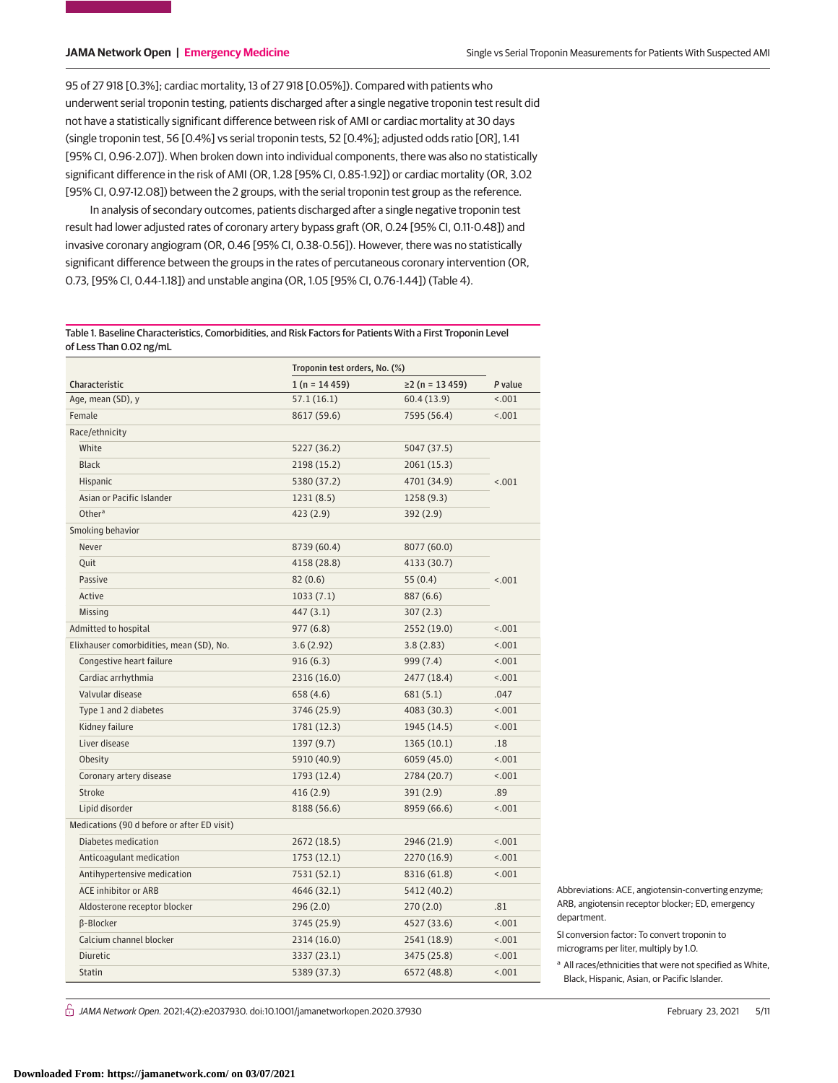95 of 27 918 [0.3%]; cardiac mortality, 13 of 27 918 [0.05%]). Compared with patients who underwent serial troponin testing, patients discharged after a single negative troponin test result did not have a statistically significant difference between risk of AMI or cardiac mortality at 30 days (single troponin test, 56 [0.4%] vs serial troponin tests, 52 [0.4%]; adjusted odds ratio [OR], 1.41 [95% CI, 0.96-2.07]). When broken down into individual components, there was also no statistically significant difference in the risk of AMI (OR, 1.28 [95% CI, 0.85-1.92]) or cardiac mortality (OR, 3.02 [95% CI, 0.97-12.08]) between the 2 groups, with the serial troponin test group as the reference.

In analysis of secondary outcomes, patients discharged after a single negative troponin test result had lower adjusted rates of coronary artery bypass graft (OR, 0.24 [95% CI, 0.11-0.48]) and invasive coronary angiogram (OR, 0.46 [95% CI, 0.38-0.56]). However, there was no statistically significant difference between the groups in the rates of percutaneous coronary intervention (OR, 0.73, [95% CI, 0.44-1.18]) and unstable angina (OR, 1.05 [95% CI, 0.76-1.44]) (Table 4).

Table 1. Baseline Characteristics, Comorbidities, and Risk Factors for Patients With a First Troponin Level of Less Than 0.02 ng/mL

|                                             | Troponin test orders, No. (%) |                       |         |  |
|---------------------------------------------|-------------------------------|-----------------------|---------|--|
| Characteristic                              | $1(n = 14459)$                | $\geq$ 2 (n = 13 459) | P value |  |
| Age, mean (SD), y                           | 57.1(16.1)                    | 60.4 (13.9)           | < .001  |  |
| Female                                      | 8617 (59.6)                   | 7595 (56.4)           | < .001  |  |
| Race/ethnicity                              |                               |                       |         |  |
| White                                       | 5227 (36.2)                   | 5047 (37.5)           |         |  |
| <b>Black</b>                                | 2198 (15.2)                   | 2061 (15.3)           |         |  |
| <b>Hispanic</b>                             | 5380 (37.2)                   | 4701 (34.9)           | < .001  |  |
| Asian or Pacific Islander                   | 1231(8.5)                     | 1258(9.3)             |         |  |
| Other <sup>a</sup>                          | 423 (2.9)                     | 392(2.9)              |         |  |
| Smoking behavior                            |                               |                       |         |  |
| Never                                       | 8739 (60.4)                   | 8077 (60.0)           |         |  |
| Quit                                        | 4158 (28.8)                   | 4133 (30.7)           |         |  |
| Passive                                     | 82(0.6)                       | 55(0.4)               | < .001  |  |
| Active                                      | 1033(7.1)                     | 887 (6.6)             |         |  |
| Missing                                     | 447 (3.1)                     | 307(2.3)              |         |  |
| Admitted to hospital                        | 977(6.8)                      | 2552 (19.0)           | < .001  |  |
| Elixhauser comorbidities, mean (SD), No.    | 3.6(2.92)                     | 3.8(2.83)             | < .001  |  |
| Congestive heart failure                    | 916(6.3)                      | 999 (7.4)             | < .001  |  |
| Cardiac arrhythmia                          | 2316 (16.0)                   | 2477 (18.4)           | < .001  |  |
| Valvular disease                            | 658 (4.6)                     | 681 (5.1)             | .047    |  |
| Type 1 and 2 diabetes                       | 3746 (25.9)                   | 4083 (30.3)           | < .001  |  |
| Kidney failure                              | 1781 (12.3)                   | 1945 (14.5)           | < .001  |  |
| Liver disease                               | 1397 (9.7)                    | 1365(10.1)            | .18     |  |
| Obesity                                     | 5910 (40.9)                   | 6059 (45.0)           | < .001  |  |
| Coronary artery disease                     | 1793 (12.4)                   | 2784 (20.7)           | < .001  |  |
| <b>Stroke</b>                               | 416(2.9)                      | 391 (2.9)             | .89     |  |
| Lipid disorder                              | 8188 (56.6)                   | 8959 (66.6)           | < .001  |  |
| Medications (90 d before or after ED visit) |                               |                       |         |  |
| Diabetes medication                         | 2672 (18.5)                   | 2946 (21.9)           | < .001  |  |
| Anticoagulant medication                    | 1753(12.1)                    | 2270 (16.9)           | < .001  |  |
| Antihypertensive medication                 | 7531 (52.1)                   | 8316 (61.8)           | < .001  |  |
| <b>ACE inhibitor or ARB</b>                 | 4646 (32.1)                   | 5412 (40.2)           |         |  |
| Aldosterone receptor blocker                | 296 (2.0)                     | 270(2.0)              | .81     |  |
| β-Blocker                                   | 3745 (25.9)                   | 4527 (33.6)           | < .001  |  |
| Calcium channel blocker                     | 2314 (16.0)                   | 2541 (18.9)           | < .001  |  |
| <b>Diuretic</b>                             | 3337 (23.1)                   | 3475 (25.8)           | < .001  |  |
| <b>Statin</b>                               | 5389 (37.3)                   | 6572 (48.8)           | < .001  |  |

Abbreviations: ACE, angiotensin-converting enzyme; ARB, angiotensin receptor blocker; ED, emergency department.

SI conversion factor: To convert troponin to micrograms per liter, multiply by 1.0.

<sup>a</sup> All races/ethnicities that were not specified as White, Black, Hispanic, Asian, or Pacific Islander.

 $\bigcap$  JAMA Network Open. 2021;4(2):e2037930. doi:10.1001/jamanetworkopen.2020.37930 (Reprinted) February 23, 2021 5/11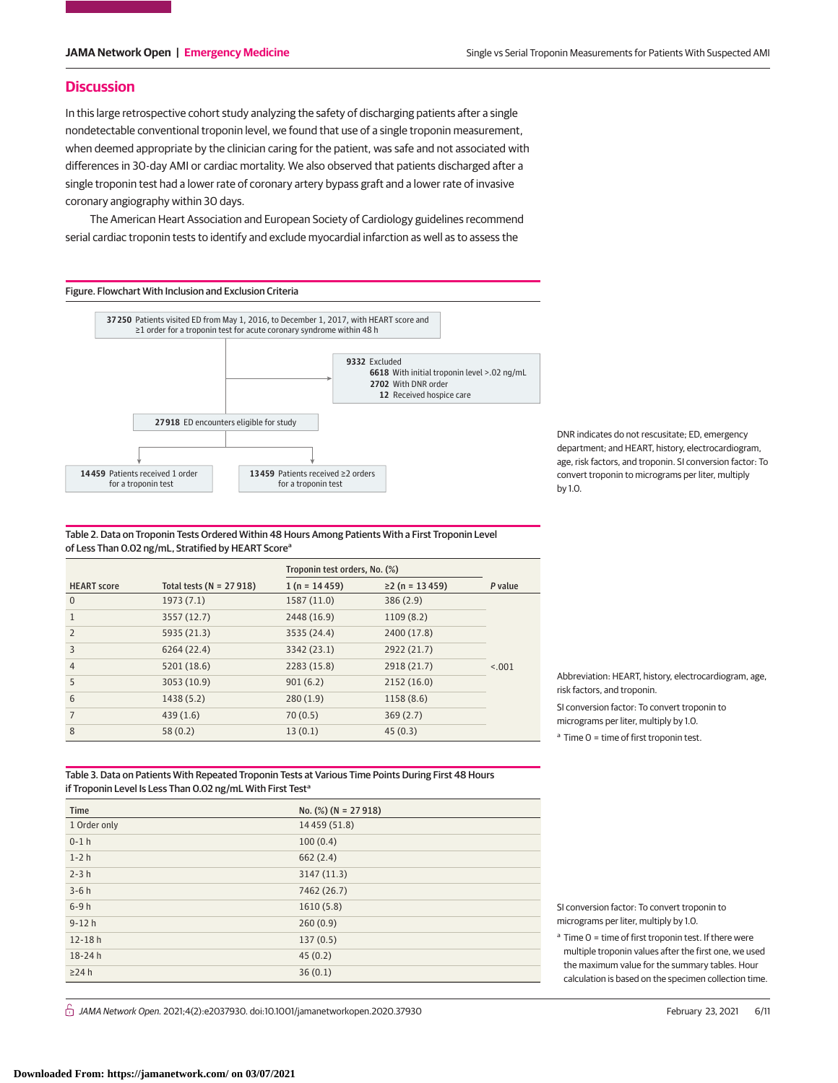# **Discussion**

In this large retrospective cohort study analyzing the safety of discharging patients after a single nondetectable conventional troponin level, we found that use of a single troponin measurement, when deemed appropriate by the clinician caring for the patient, was safe and not associated with differences in 30-day AMI or cardiac mortality. We also observed that patients discharged after a single troponin test had a lower rate of coronary artery bypass graft and a lower rate of invasive coronary angiography within 30 days.

The American Heart Association and European Society of Cardiology guidelines recommend serial cardiac troponin tests to identify and exclude myocardial infarction as well as to assess the



DNR indicates do not rescusitate; ED, emergency department; and HEART, history, electrocardiogram, age, risk factors, and troponin. SI conversion factor: To convert troponin to micrograms per liter, multiply by 1.0.

Table 2. Data on Troponin Tests Ordered Within 48 Hours Among Patients With a First Troponin Level of Less Than 0.02 ng/mL, Stratified by HEART Score<sup>a</sup>

|                    |                             | Troponin test orders, No. (%) |                       |         |
|--------------------|-----------------------------|-------------------------------|-----------------------|---------|
| <b>HEART</b> score | Total tests ( $N = 27918$ ) | $1(n = 14459)$                | $\geq$ 2 (n = 13 459) | P value |
| 0                  | 1973(7.1)                   | 1587 (11.0)                   | 386(2.9)              |         |
|                    | 3557 (12.7)                 | 2448 (16.9)                   | 1109(8.2)             |         |
| $\overline{2}$     | 5935 (21.3)                 | 3535 (24.4)                   | 2400 (17.8)           |         |
| 3                  | 6264 (22.4)                 | 3342 (23.1)                   | 2922 (21.7)           |         |
| $\overline{4}$     | 5201 (18.6)                 | 2283 (15.8)                   | 2918 (21.7)           | < 0.001 |
| 5                  | 3053 (10.9)                 | 901(6.2)                      | 2152(16.0)            |         |
| 6                  | 1438 (5.2)                  | 280(1.9)                      | 1158(8.6)             |         |
| 7                  | 439(1.6)                    | 70(0.5)                       | 369(2.7)              |         |
| 8                  | 58(0.2)                     | 13(0.1)                       | 45(0.3)               |         |

Abbreviation: HEART, history, electrocardiogram, age, risk factors, and troponin.

SI conversion factor: To convert troponin to micrograms per liter, multiply by 1.0.

 $a$  Time 0 = time of first troponin test.

Table 3. Data on Patients With Repeated Troponin Tests at Various Time Points During First 48 Hours if Troponin Level Is Less Than 0.02 ng/mL With First Test<sup>a</sup>

| Time         | No. $(\%)$ (N = 27 918) |
|--------------|-------------------------|
| 1 Order only | 14 459 (51.8)           |
| $0-1$ h      | 100(0.4)                |
| $1-2h$       | 662(2.4)                |
| $2-3h$       | 3147(11.3)              |
| $3-6h$       | 7462 (26.7)             |
| $6-9h$       | 1610(5.8)               |
| $9-12h$      | 260(0.9)                |
| $12 - 18h$   | 137(0.5)                |
| $18 - 24h$   | 45(0.2)                 |
| $\geq$ 24 h  | 36(0.1)                 |

 $\stackrel{\frown}{\Box}$  JAMA Network Open. 2021;4(2):e2037930. doi:10.1001/jamanetworkopen.2020.37930 (Reprinted) February 23, 2021 6/11

SI conversion factor: To convert troponin to micrograms per liter, multiply by 1.0.

 $a$  Time  $0 =$  time of first troponin test. If there were multiple troponin values after the first one, we used the maximum value for the summary tables. Hour calculation is based on the specimen collection time.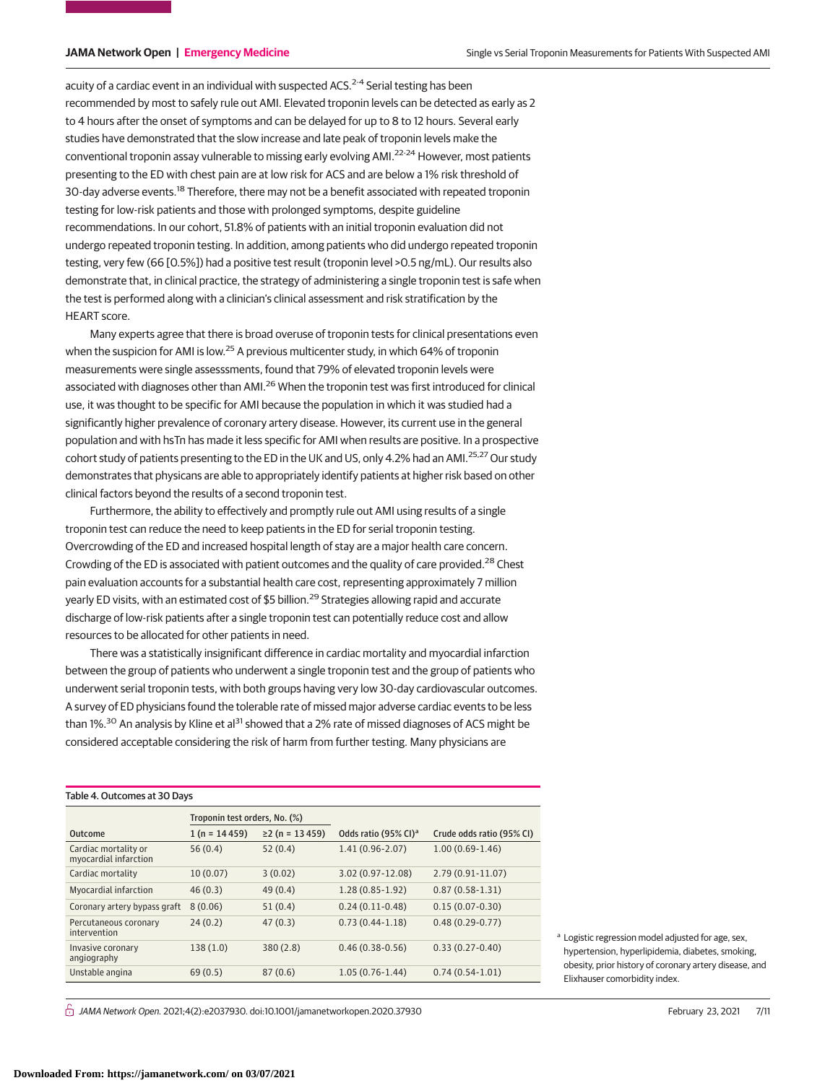acuity of a cardiac event in an individual with suspected ACS.<sup>2-4</sup> Serial testing has been recommended by most to safely rule out AMI. Elevated troponin levels can be detected as early as 2 to 4 hours after the onset of symptoms and can be delayed for up to 8 to 12 hours. Several early studies have demonstrated that the slow increase and late peak of troponin levels make the conventional troponin assay vulnerable to missing early evolving AMI.22-24 However, most patients presenting to the ED with chest pain are at low risk for ACS and are below a 1% risk threshold of 30-day adverse events.<sup>18</sup> Therefore, there may not be a benefit associated with repeated troponin testing for low-risk patients and those with prolonged symptoms, despite guideline recommendations. In our cohort, 51.8% of patients with an initial troponin evaluation did not undergo repeated troponin testing. In addition, among patients who did undergo repeated troponin testing, very few (66 [0.5%]) had a positive test result (troponin level >0.5 ng/mL). Our results also demonstrate that, in clinical practice, the strategy of administering a single troponin test is safe when the test is performed along with a clinician's clinical assessment and risk stratification by the HEART score.

Many experts agree that there is broad overuse of troponin tests for clinical presentations even when the suspicion for AMI is low.<sup>25</sup> A previous multicenter study, in which 64% of troponin measurements were single assesssments, found that 79% of elevated troponin levels were associated with diagnoses other than AMI.<sup>26</sup> When the troponin test was first introduced for clinical use, it was thought to be specific for AMI because the population in which it was studied had a significantly higher prevalence of coronary artery disease. However, its current use in the general population and with hsTn has made it less specific for AMI when results are positive. In a prospective cohort study of patients presenting to the ED in the UK and US, only 4.2% had an AMI.<sup>25,27</sup> Our study demonstrates that physicans are able to appropriately identify patients at higher risk based on other clinical factors beyond the results of a second troponin test.

Furthermore, the ability to effectively and promptly rule out AMI using results of a single troponin test can reduce the need to keep patients in the ED for serial troponin testing. Overcrowding of the ED and increased hospital length of stay are a major health care concern. Crowding of the ED is associated with patient outcomes and the quality of care provided.<sup>28</sup> Chest pain evaluation accounts for a substantial health care cost, representing approximately 7 million yearly ED visits, with an estimated cost of \$5 billion.<sup>29</sup> Strategies allowing rapid and accurate discharge of low-risk patients after a single troponin test can potentially reduce cost and allow resources to be allocated for other patients in need.

There was a statistically insignificant difference in cardiac mortality and myocardial infarction between the group of patients who underwent a single troponin test and the group of patients who underwent serial troponin tests, with both groups having very low 30-day cardiovascular outcomes. A survey of ED physicians found the tolerable rate of missed major adverse cardiac events to be less than 1%.<sup>30</sup> An analysis by Kline et al<sup>31</sup> showed that a 2% rate of missed diagnoses of ACS might be considered acceptable considering the risk of harm from further testing. Many physicians are

| Table 4. Outcomes at 30 Days                  |                               |                       |                                  |                           |  |  |
|-----------------------------------------------|-------------------------------|-----------------------|----------------------------------|---------------------------|--|--|
|                                               | Troponin test orders, No. (%) |                       |                                  |                           |  |  |
| Outcome                                       | $1(n = 14459)$                | $\geq$ 2 (n = 13 459) | Odds ratio (95% CI) <sup>a</sup> | Crude odds ratio (95% CI) |  |  |
| Cardiac mortality or<br>myocardial infarction | 56(0.4)                       | 52(0.4)               | $1.41(0.96 - 2.07)$              | $1.00(0.69-1.46)$         |  |  |
| Cardiac mortality                             | 10(0.07)                      | 3(0.02)               | 3.02 (0.97-12.08)                | $2.79(0.91 - 11.07)$      |  |  |
| Myocardial infarction                         | 46(0.3)                       | 49(0.4)               | $1.28(0.85 - 1.92)$              | $0.87(0.58-1.31)$         |  |  |
| Coronary artery bypass graft                  | 8(0.06)                       | 51(0.4)               | $0.24(0.11-0.48)$                | $0.15(0.07-0.30)$         |  |  |
| Percutaneous coronary<br>intervention         | 24(0.2)                       | 47(0.3)               | $0.73(0.44 - 1.18)$              | $0.48(0.29-0.77)$         |  |  |
| Invasive coronary<br>angiography              | 138(1.0)                      | 380(2.8)              | $0.46(0.38-0.56)$                | $0.33(0.27-0.40)$         |  |  |
| Unstable angina                               | 69(0.5)                       | 87(0.6)               | $1.05(0.76-1.44)$                | $0.74(0.54-1.01)$         |  |  |

<sup>a</sup> Logistic regression model adjusted for age, sex, hypertension, hyperlipidemia, diabetes, smoking, obesity, prior history of coronary artery disease, and Elixhauser comorbidity index.

 $\stackrel{\frown}{\Box}$  JAMA Network Open. 2021;4(2):e2037930. doi:10.1001/jamanetworkopen.2020.37930 (Reprinted) February 23, 2021 7/11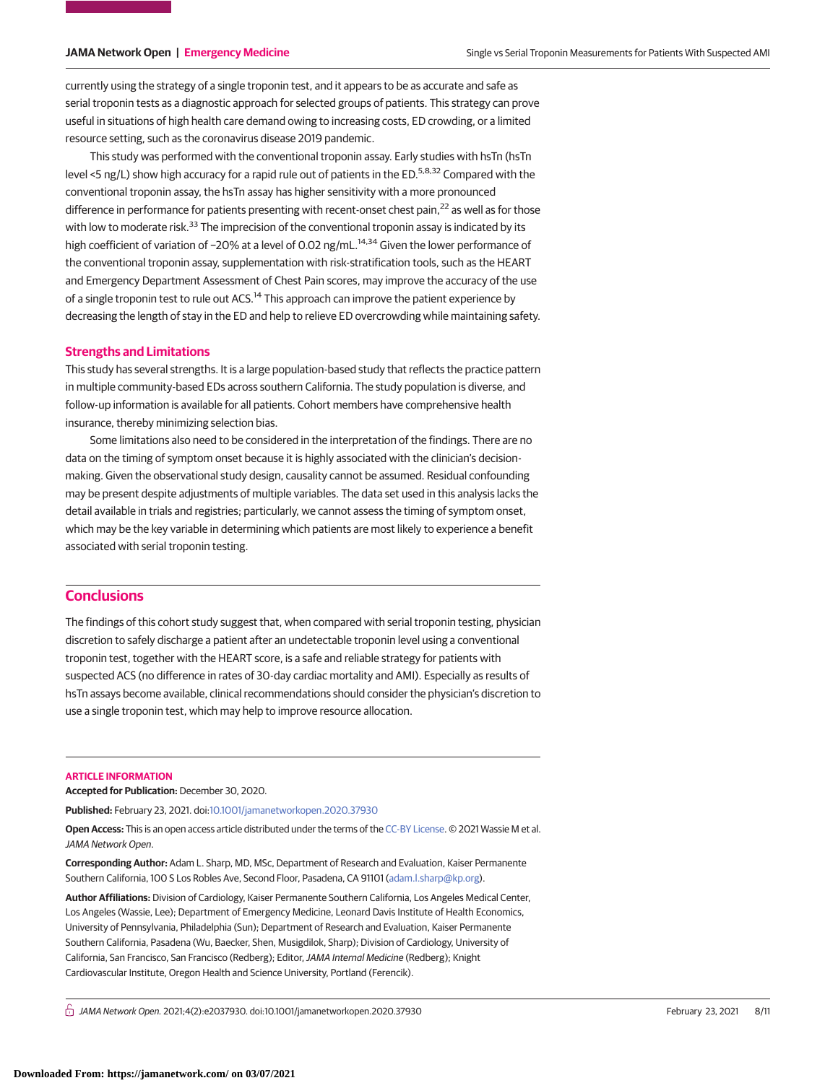currently using the strategy of a single troponin test, and it appears to be as accurate and safe as serial troponin tests as a diagnostic approach for selected groups of patients. This strategy can prove useful in situations of high health care demand owing to increasing costs, ED crowding, or a limited resource setting, such as the coronavirus disease 2019 pandemic.

This study was performed with the conventional troponin assay. Early studies with hsTn (hsTn level <5 ng/L) show high accuracy for a rapid rule out of patients in the ED.<sup>5,8,32</sup> Compared with the conventional troponin assay, the hsTn assay has higher sensitivity with a more pronounced difference in performance for patients presenting with recent-onset chest pain,<sup>22</sup> as well as for those with low to moderate risk.<sup>33</sup> The imprecision of the conventional troponin assay is indicated by its high coefficient of variation of −20% at a level of 0.02 ng/mL.<sup>14,34</sup> Given the lower performance of the conventional troponin assay, supplementation with risk-stratification tools, such as the HEART and Emergency Department Assessment of Chest Pain scores, may improve the accuracy of the use of a single troponin test to rule out ACS.<sup>14</sup> This approach can improve the patient experience by decreasing the length of stay in the ED and help to relieve ED overcrowding while maintaining safety.

### **Strengths and Limitations**

This study has several strengths. It is a large population-based study that reflects the practice pattern in multiple community-based EDs across southern California. The study population is diverse, and follow-up information is available for all patients. Cohort members have comprehensive health insurance, thereby minimizing selection bias.

Some limitations also need to be considered in the interpretation of the findings. There are no data on the timing of symptom onset because it is highly associated with the clinician's decisionmaking. Given the observational study design, causality cannot be assumed. Residual confounding may be present despite adjustments of multiple variables. The data set used in this analysis lacks the detail available in trials and registries; particularly, we cannot assess the timing of symptom onset, which may be the key variable in determining which patients are most likely to experience a benefit associated with serial troponin testing.

# **Conclusions**

The findings of this cohort study suggest that, when compared with serial troponin testing, physician discretion to safely discharge a patient after an undetectable troponin level using a conventional troponin test, together with the HEART score, is a safe and reliable strategy for patients with suspected ACS (no difference in rates of 30-day cardiac mortality and AMI). Especially as results of hsTn assays become available, clinical recommendations should consider the physician's discretion to use a single troponin test, which may help to improve resource allocation.

#### **ARTICLE INFORMATION**

**Accepted for Publication:** December 30, 2020.

**Published:** February 23, 2021. doi[:10.1001/jamanetworkopen.2020.37930](https://jama.jamanetwork.com/article.aspx?doi=10.1001/jamanetworkopen.2020.37930&utm_campaign=articlePDF%26utm_medium=articlePDFlink%26utm_source=articlePDF%26utm_content=jamanetworkopen.2020.37930)

**Open Access:** This is an open access article distributed under the terms of the [CC-BY License.](https://jamanetwork.com/pages/cc-by-license-permissions/?utm_campaign=articlePDF%26utm_medium=articlePDFlink%26utm_source=articlePDF%26utm_content=jamanetworkopen.2020.37930) © 2021 Wassie M et al. JAMA Network Open.

**Corresponding Author:** Adam L. Sharp, MD, MSc, Department of Research and Evaluation, Kaiser Permanente Southern California, 100 S Los Robles Ave, Second Floor, Pasadena, CA 91101 [\(adam.l.sharp@kp.org\)](mailto:adam.l.sharp@kp.org).

**Author Affiliations:** Division of Cardiology, Kaiser Permanente Southern California, Los Angeles Medical Center, Los Angeles (Wassie, Lee); Department of Emergency Medicine, Leonard Davis Institute of Health Economics, University of Pennsylvania, Philadelphia (Sun); Department of Research and Evaluation, Kaiser Permanente Southern California, Pasadena (Wu, Baecker, Shen, Musigdilok, Sharp); Division of Cardiology, University of California, San Francisco, San Francisco (Redberg); Editor,JAMA Internal Medicine (Redberg); Knight Cardiovascular Institute, Oregon Health and Science University, Portland (Ferencik).

 $\bigcap$  JAMA Network Open. 2021;4(2):e2037930. doi:10.1001/jamanetworkopen.2020.37930 (Reprinted) February 23, 2021 8/11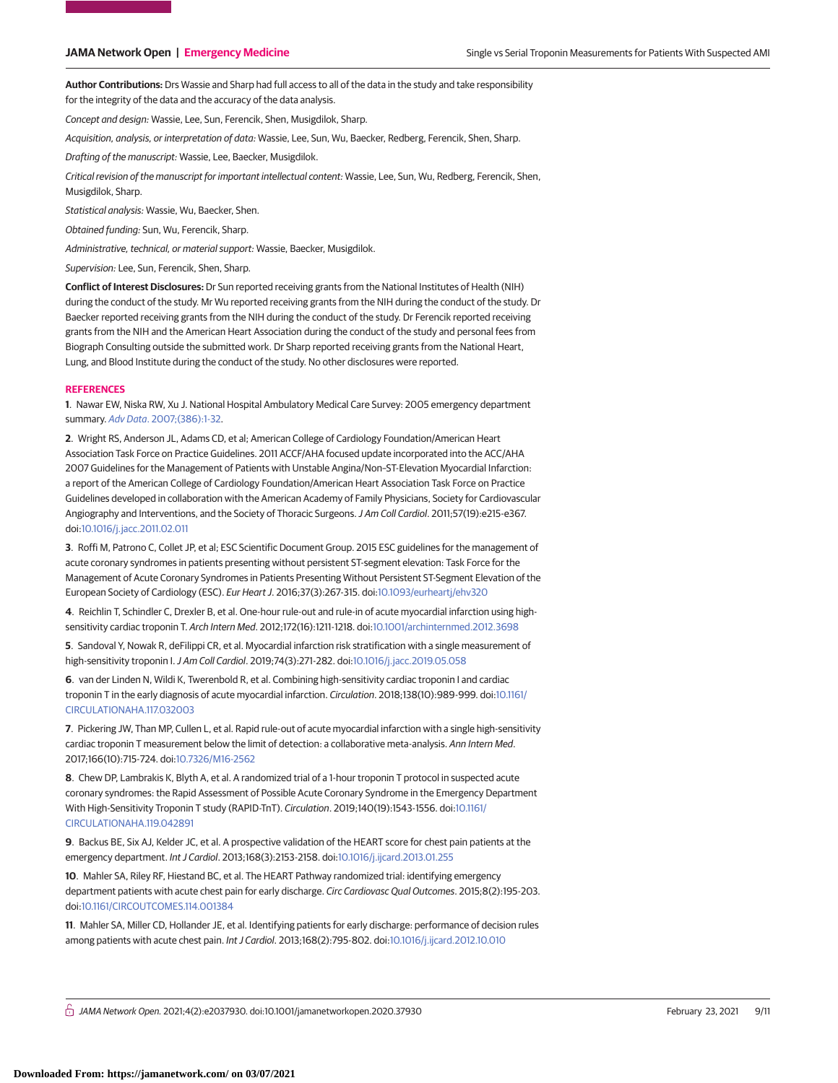**Author Contributions:** Drs Wassie and Sharp had full access to all of the data in the study and take responsibility for the integrity of the data and the accuracy of the data analysis.

Concept and design: Wassie, Lee, Sun, Ferencik, Shen, Musigdilok, Sharp.

Acquisition, analysis, or interpretation of data: Wassie, Lee, Sun, Wu, Baecker, Redberg, Ferencik, Shen, Sharp.

Drafting of the manuscript: Wassie, Lee, Baecker, Musigdilok.

Critical revision of the manuscript for important intellectual content: Wassie, Lee, Sun, Wu, Redberg, Ferencik, Shen, Musigdilok, Sharp.

Statistical analysis: Wassie, Wu, Baecker, Shen.

Obtained funding: Sun, Wu, Ferencik, Sharp.

Administrative, technical, or material support: Wassie, Baecker, Musigdilok.

Supervision: Lee, Sun, Ferencik, Shen, Sharp.

**Conflict of Interest Disclosures:** Dr Sun reported receiving grants from the National Institutes of Health (NIH) during the conduct of the study. Mr Wu reported receiving grants from the NIH during the conduct of the study. Dr Baecker reported receiving grants from the NIH during the conduct of the study. Dr Ferencik reported receiving grants from the NIH and the American Heart Association during the conduct of the study and personal fees from Biograph Consulting outside the submitted work. Dr Sharp reported receiving grants from the National Heart, Lung, and Blood Institute during the conduct of the study. No other disclosures were reported.

#### **REFERENCES**

**1**. Nawar EW, Niska RW, Xu J. National Hospital Ambulatory Medical Care Survey: 2005 emergency department summary. Adv Data[. 2007;\(386\):1-32.](https://www.ncbi.nlm.nih.gov/pubmed/17703794)

**2**. Wright RS, Anderson JL, Adams CD, et al; American College of Cardiology Foundation/American Heart Association Task Force on Practice Guidelines. 2011 ACCF/AHA focused update incorporated into the ACC/AHA 2007 Guidelines for the Management of Patients with Unstable Angina/Non–ST-Elevation Myocardial Infarction: a report of the American College of Cardiology Foundation/American Heart Association Task Force on Practice Guidelines developed in collaboration with the American Academy of Family Physicians, Society for Cardiovascular Angiography and Interventions, and the Society of Thoracic Surgeons.J Am Coll Cardiol. 2011;57(19):e215-e367. doi[:10.1016/j.jacc.2011.02.011](https://dx.doi.org/10.1016/j.jacc.2011.02.011)

**3**. Roffi M, Patrono C, Collet JP, et al; ESC Scientific Document Group. 2015 ESC guidelines for the management of acute coronary syndromes in patients presenting without persistent ST-segment elevation: Task Force for the Management of Acute Coronary Syndromes in Patients Presenting Without Persistent ST-Segment Elevation of the European Society of Cardiology (ESC). Eur Heart J. 2016;37(3):267-315. doi[:10.1093/eurheartj/ehv320](https://dx.doi.org/10.1093/eurheartj/ehv320)

**4**. Reichlin T, Schindler C, Drexler B, et al. One-hour rule-out and rule-in of acute myocardial infarction using highsensitivity cardiac troponin T. Arch Intern Med. 2012;172(16):1211-1218. doi[:10.1001/archinternmed.2012.3698](https://jama.jamanetwork.com/article.aspx?doi=10.1001/archinternmed.2012.3698&utm_campaign=articlePDF%26utm_medium=articlePDFlink%26utm_source=articlePDF%26utm_content=jamanetworkopen.2020.37930)

**5**. Sandoval Y, Nowak R, deFilippi CR, et al. Myocardial infarction risk stratification with a single measurement of high-sensitivity troponin I.J Am Coll Cardiol. 2019;74(3):271-282. doi[:10.1016/j.jacc.2019.05.058](https://dx.doi.org/10.1016/j.jacc.2019.05.058)

**6**. van der Linden N, Wildi K, Twerenbold R, et al. Combining high-sensitivity cardiac troponin I and cardiac troponin T in the early diagnosis of acute myocardial infarction. Circulation. 2018;138(10):989-999. doi[:10.1161/](https://dx.doi.org/10.1161/CIRCULATIONAHA.117.032003) [CIRCULATIONAHA.117.032003](https://dx.doi.org/10.1161/CIRCULATIONAHA.117.032003)

**7**. Pickering JW, Than MP, Cullen L, et al. Rapid rule-out of acute myocardial infarction with a single high-sensitivity cardiac troponin T measurement below the limit of detection: a collaborative meta-analysis. Ann Intern Med. 2017;166(10):715-724. doi[:10.7326/M16-2562](https://dx.doi.org/10.7326/M16-2562)

**8**. Chew DP, Lambrakis K, Blyth A, et al. A randomized trial of a 1-hour troponin T protocol in suspected acute coronary syndromes: the Rapid Assessment of Possible Acute Coronary Syndrome in the Emergency Department With High-Sensitivity Troponin T study (RAPID-TnT). Circulation. 2019;140(19):1543-1556. doi[:10.1161/](https://dx.doi.org/10.1161/CIRCULATIONAHA.119.042891) [CIRCULATIONAHA.119.042891](https://dx.doi.org/10.1161/CIRCULATIONAHA.119.042891)

**9**. Backus BE, Six AJ, Kelder JC, et al. A prospective validation of the HEART score for chest pain patients at the emergency department. Int J Cardiol. 2013;168(3):2153-2158. doi[:10.1016/j.ijcard.2013.01.255](https://dx.doi.org/10.1016/j.ijcard.2013.01.255)

**10**. Mahler SA, Riley RF, Hiestand BC, et al. The HEART Pathway randomized trial: identifying emergency department patients with acute chest pain for early discharge. Circ Cardiovasc Qual Outcomes. 2015;8(2):195-203. doi[:10.1161/CIRCOUTCOMES.114.001384](https://dx.doi.org/10.1161/CIRCOUTCOMES.114.001384)

**11**. Mahler SA, Miller CD, Hollander JE, et al. Identifying patients for early discharge: performance of decision rules among patients with acute chest pain. Int J Cardiol. 2013;168(2):795-802. doi[:10.1016/j.ijcard.2012.10.010](https://dx.doi.org/10.1016/j.ijcard.2012.10.010)

 $\bigcap$  JAMA Network Open. 2021;4(2):e2037930. doi:10.1001/jamanetworkopen.2020.37930 (Reprinted) February 23, 2021 9/11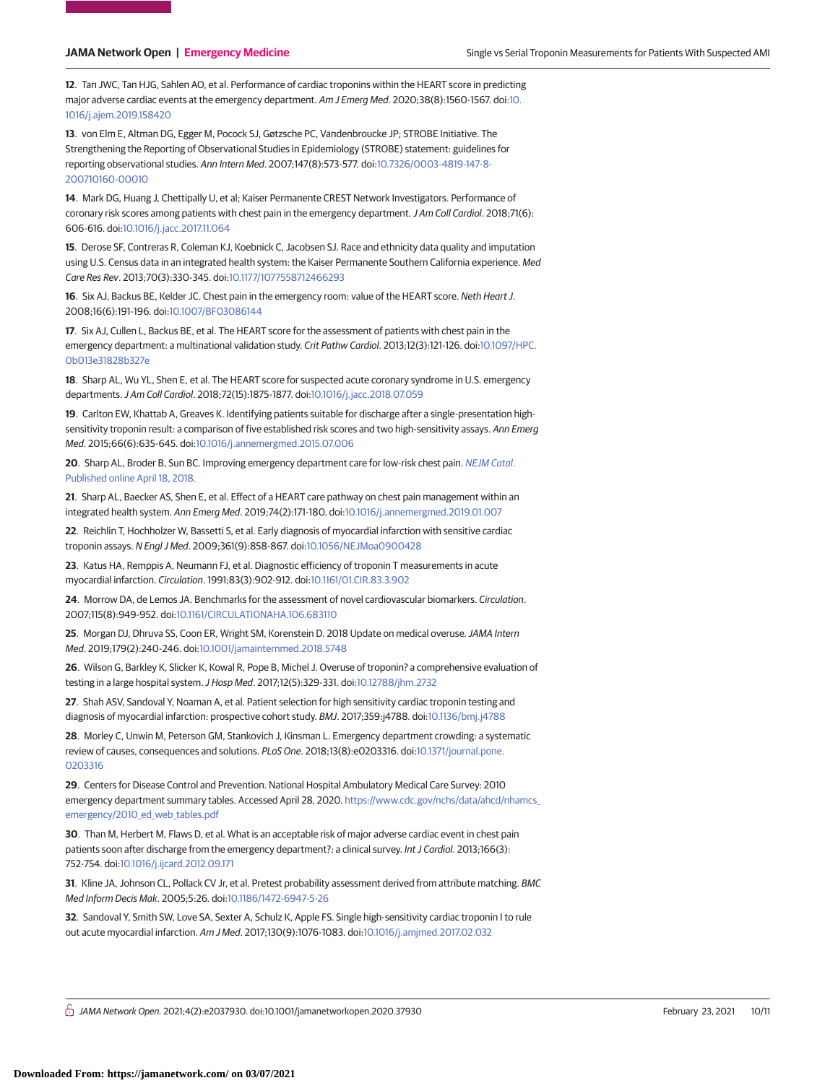**12**. Tan JWC, Tan HJG, Sahlen AO, et al. Performance of cardiac troponins within the HEART score in predicting major adverse cardiac events at the emergency department. Am J Emerg Med. 2020;38(8):1560-1567. doi[:10.](https://dx.doi.org/10.1016/j.ajem.2019.158420) [1016/j.ajem.2019.158420](https://dx.doi.org/10.1016/j.ajem.2019.158420)

**13**. von Elm E, Altman DG, Egger M, Pocock SJ, Gøtzsche PC, Vandenbroucke JP; STROBE Initiative. The Strengthening the Reporting of Observational Studies in Epidemiology (STROBE) statement: guidelines for reporting observational studies. Ann Intern Med. 2007;147(8):573-577. doi[:10.7326/0003-4819-147-8-](https://dx.doi.org/10.7326/0003-4819-147-8-200710160-00010) [200710160-00010](https://dx.doi.org/10.7326/0003-4819-147-8-200710160-00010)

**14**. Mark DG, Huang J, Chettipally U, et al; Kaiser Permanente CREST Network Investigators. Performance of coronary risk scores among patients with chest pain in the emergency department. J Am Coll Cardiol. 2018;71(6): 606-616. doi[:10.1016/j.jacc.2017.11.064](https://dx.doi.org/10.1016/j.jacc.2017.11.064)

**15**. Derose SF, Contreras R, Coleman KJ, Koebnick C, Jacobsen SJ. Race and ethnicity data quality and imputation using U.S. Census data in an integrated health system: the Kaiser Permanente Southern California experience. Med Care Res Rev. 2013;70(3):330-345. doi[:10.1177/1077558712466293](https://dx.doi.org/10.1177/1077558712466293)

**16**. Six AJ, Backus BE, Kelder JC. Chest pain in the emergency room: value of the HEART score. Neth Heart J. 2008;16(6):191-196. doi[:10.1007/BF03086144](https://dx.doi.org/10.1007/BF03086144)

**17**. Six AJ, Cullen L, Backus BE, et al. The HEART score for the assessment of patients with chest pain in the emergency department: a multinational validation study. Crit Pathw Cardiol. 2013;12(3):121-126. doi[:10.1097/HPC.](https://dx.doi.org/10.1097/HPC.0b013e31828b327e) [0b013e31828b327e](https://dx.doi.org/10.1097/HPC.0b013e31828b327e)

**18**. Sharp AL, Wu YL, Shen E, et al. The HEART score for suspected acute coronary syndrome in U.S. emergency departments.J Am Coll Cardiol. 2018;72(15):1875-1877. doi[:10.1016/j.jacc.2018.07.059](https://dx.doi.org/10.1016/j.jacc.2018.07.059)

**19**. Carlton EW, Khattab A, Greaves K. Identifying patients suitable for discharge after a single-presentation highsensitivity troponin result: a comparison of five established risk scores and two high-sensitivity assays. Ann Emerg Med. 2015;66(6):635-645. doi[:10.1016/j.annemergmed.2015.07.006](https://dx.doi.org/10.1016/j.annemergmed.2015.07.006)

**20**. Sharp AL, Broder B, Sun BC. Improving emergency department care for low-risk chest pain. [NEJM Catal](https://www.ncbi.nlm.nih.gov/pubmed/29953116). [Published online April 18, 2018.](https://www.ncbi.nlm.nih.gov/pubmed/29953116)

**21**[. Sharp AL, Baecker AS, Shen E, et al. Effect of a HEART care pathway on chest pain management within an](https://www.ncbi.nlm.nih.gov/pubmed/29953116) integrated health system. Ann Emerg Med. 2019;74(2):171-180. doi[:10.1016/j.annemergmed.2019.01.007](https://dx.doi.org/10.1016/j.annemergmed.2019.01.007)

**22**. Reichlin T, Hochholzer W, Bassetti S, et al. Early diagnosis of myocardial infarction with sensitive cardiac troponin assays. N Engl J Med. 2009;361(9):858-867. doi[:10.1056/NEJMoa0900428](https://dx.doi.org/10.1056/NEJMoa0900428)

**23**. Katus HA, Remppis A, Neumann FJ, et al. Diagnostic efficiency of troponin T measurements in acute myocardial infarction. Circulation. 1991;83(3):902-912. doi[:10.1161/01.CIR.83.3.902](https://dx.doi.org/10.1161/01.CIR.83.3.902)

**24**. Morrow DA, de Lemos JA. Benchmarks for the assessment of novel cardiovascular biomarkers. Circulation. 2007;115(8):949-952. doi[:10.1161/CIRCULATIONAHA.106.683110](https://dx.doi.org/10.1161/CIRCULATIONAHA.106.683110)

**25**. Morgan DJ, Dhruva SS, Coon ER, Wright SM, Korenstein D. 2018 Update on medical overuse.JAMA Intern Med. 2019;179(2):240-246. doi[:10.1001/jamainternmed.2018.5748](https://jama.jamanetwork.com/article.aspx?doi=10.1001/jamainternmed.2018.5748&utm_campaign=articlePDF%26utm_medium=articlePDFlink%26utm_source=articlePDF%26utm_content=jamanetworkopen.2020.37930)

**26**. Wilson G, Barkley K, Slicker K, Kowal R, Pope B, Michel J. Overuse of troponin? a comprehensive evaluation of testing in a large hospital system.J Hosp Med. 2017;12(5):329-331. doi[:10.12788/jhm.2732](https://dx.doi.org/10.12788/jhm.2732)

**27**. Shah ASV, Sandoval Y, Noaman A, et al. Patient selection for high sensitivity cardiac troponin testing and diagnosis of myocardial infarction: prospective cohort study. BMJ. 2017;359:j4788. doi[:10.1136/bmj.j4788](https://dx.doi.org/10.1136/bmj.j4788)

**28**. Morley C, Unwin M, Peterson GM, Stankovich J, Kinsman L. Emergency department crowding: a systematic review of causes, consequences and solutions. PLoS One. 2018;13(8):e0203316. doi[:10.1371/journal.pone.](https://dx.doi.org/10.1371/journal.pone.0203316) [0203316](https://dx.doi.org/10.1371/journal.pone.0203316)

**29**. Centers for Disease Control and Prevention. National Hospital Ambulatory Medical Care Survey: 2010 emergency department summary tables. Accessed April 28, 2020. [https://www.cdc.gov/nchs/data/ahcd/nhamcs\\_](https://www.cdc.gov/nchs/data/ahcd/nhamcs_emergency/2010_ed_web_tables.pdf) [emergency/2010\\_ed\\_web\\_tables.pdf](https://www.cdc.gov/nchs/data/ahcd/nhamcs_emergency/2010_ed_web_tables.pdf)

**30**. Than M, Herbert M, Flaws D, et al. What is an acceptable risk of major adverse cardiac event in chest pain patients soon after discharge from the emergency department?: a clinical survey. Int J Cardiol. 2013;166(3): 752-754. doi[:10.1016/j.ijcard.2012.09.171](https://dx.doi.org/10.1016/j.ijcard.2012.09.171)

**31**. Kline JA, Johnson CL, Pollack CV Jr, et al. Pretest probability assessment derived from attribute matching. BMC Med Inform Decis Mak. 2005;5:26. doi[:10.1186/1472-6947-5-26](https://dx.doi.org/10.1186/1472-6947-5-26)

**32**. Sandoval Y, Smith SW, Love SA, Sexter A, Schulz K, Apple FS. Single high-sensitivity cardiac troponin I to rule out acute myocardial infarction. Am J Med. 2017;130(9):1076-1083. doi[:10.1016/j.amjmed.2017.02.032](https://dx.doi.org/10.1016/j.amjmed.2017.02.032)

 $\stackrel{\frown}{\Pi}$  JAMA Network Open. 2021;4(2):e2037930. doi:10.1001/jamanetworkopen.2020.37930 February 23, 2021 10/11